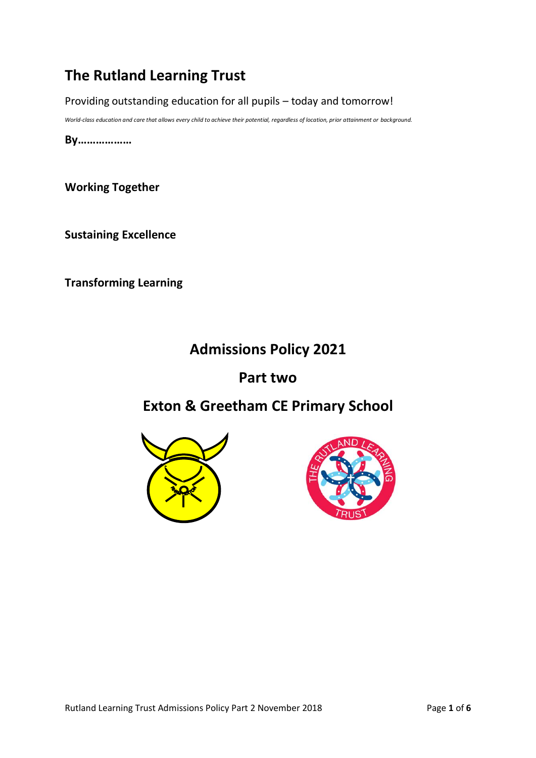# **The Rutland Learning Trust**

Providing outstanding education for all pupils – today and tomorrow!

*World-class education and care that allows every child to achieve their potential, regardless of location, prior attainment or background.*

**By………………**

**Working Together**

**Sustaining Excellence**

**Transforming Learning**

# **Admissions Policy 2021**

## **Part two**

# **Exton & Greetham CE Primary School**



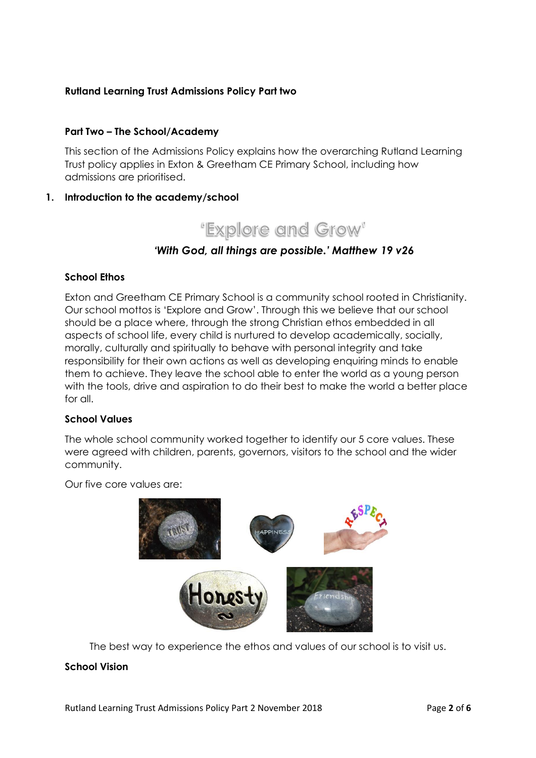## **Rutland Learning Trust Admissions Policy Part two**

### **Part Two – The School/Academy**

This section of the Admissions Policy explains how the overarching Rutland Learning Trust policy applies in Exton & Greetham CE Primary School, including how admissions are prioritised.

### **1. Introduction to the academy/school**



## *'With God, all things are possible.' Matthew 19 v26*

#### **School Ethos**

Exton and Greetham CE Primary School is a community school rooted in Christianity. Our school mottos is 'Explore and Grow'. Through this we believe that our school should be a place where, through the strong Christian ethos embedded in all aspects of school life, every child is nurtured to develop academically, socially, morally, culturally and spiritually to behave with personal integrity and take responsibility for their own actions as well as developing enquiring minds to enable them to achieve. They leave the school able to enter the world as a young person with the tools, drive and aspiration to do their best to make the world a better place for all.

#### **School Values**

The whole school community worked together to identify our 5 core values. These were agreed with children, parents, governors, visitors to the school and the wider community.

Our five core values are:



The best way to experience the ethos and values of our school is to visit us.

#### **School Vision**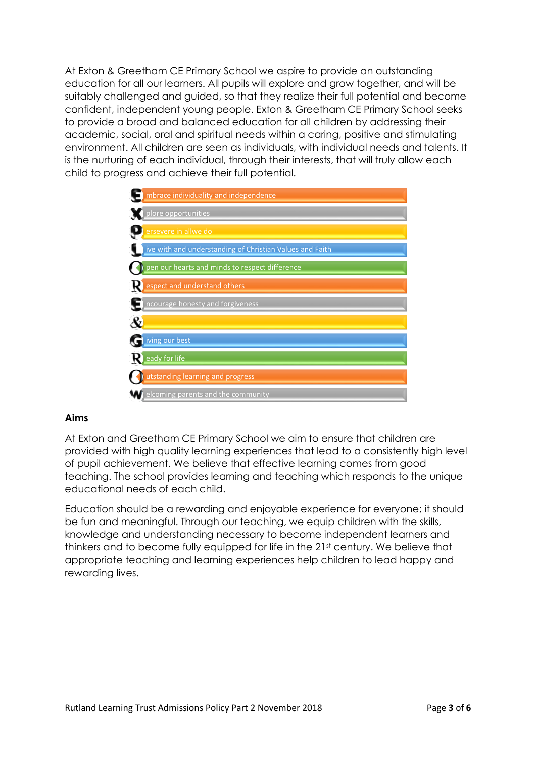At Exton & Greetham CE Primary School we aspire to provide an outstanding education for all our learners. All pupils will explore and grow together, and will be suitably challenged and guided, so that they realize their full potential and become confident, independent young people. Exton & Greetham CE Primary School seeks to provide a broad and balanced education for all children by addressing their academic, social, oral and spiritual needs within a caring, positive and stimulating environment. All children are seen as individuals, with individual needs and talents. It is the nurturing of each individual, through their interests, that will truly allow each child to progress and achieve their full potential.

| mbrace individuality and independence                    |
|----------------------------------------------------------|
| plore opportunities                                      |
| ersevere in allwe do                                     |
| ive with and understanding of Christian Values and Faith |
| pen our hearts and minds to respect difference           |
| K)<br>espect and understand others                       |
| $\Box$ ncourage honesty and forgiveness                  |
| $\mathcal{X}% _{M_{1},M_{2}}^{\alpha,\beta}(\mathbf{A})$ |
| iving our best                                           |
| eady for life<br>R)                                      |
| utstanding learning and progress                         |
| elcoming parents and the community                       |

## **Aims**

At Exton and Greetham CE Primary School we aim to ensure that children are provided with high quality learning experiences that lead to a consistently high level of pupil achievement. We believe that effective learning comes from good teaching. The school provides learning and teaching which responds to the unique educational needs of each child.

Education should be a rewarding and enjoyable experience for everyone; it should be fun and meaningful. Through our teaching, we equip children with the skills, knowledge and understanding necessary to become independent learners and thinkers and to become fully equipped for life in the 21st century. We believe that appropriate teaching and learning experiences help children to lead happy and rewarding lives.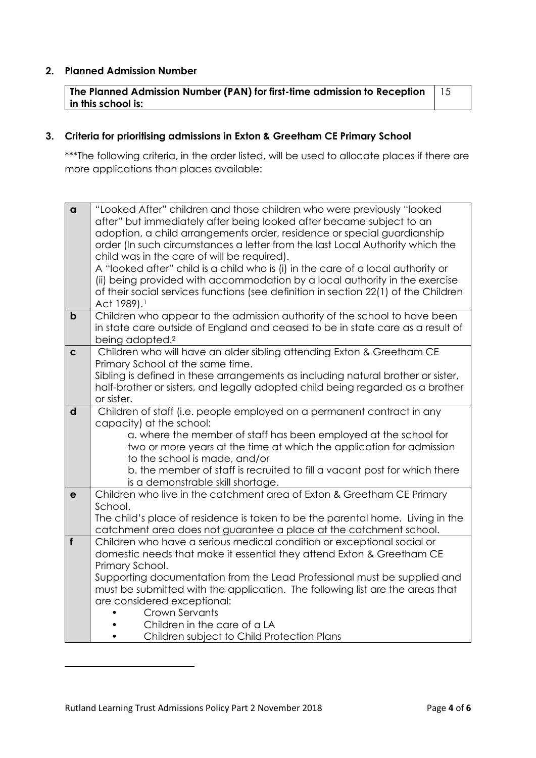#### **2. Planned Admission Number**

**The Planned Admission Number (PAN) for first-time admission to Reception in this school is:** 15

## **3. Criteria for prioritising admissions in Exton & Greetham CE Primary School**

\*\*\*The following criteria, in the order listed, will be used to allocate places if there are more applications than places available:

| $\alpha$     | "Looked After" children and those children who were previously "looked                                |
|--------------|-------------------------------------------------------------------------------------------------------|
|              | after" but immediately after being looked after became subject to an                                  |
|              | adoption, a child arrangements order, residence or special guardianship                               |
|              | order (In such circumstances a letter from the last Local Authority which the                         |
|              | child was in the care of will be required).                                                           |
|              | A "looked after" child is a child who is (i) in the care of a local authority or                      |
|              | (ii) being provided with accommodation by a local authority in the exercise                           |
|              | of their social services functions (see definition in section 22(1) of the Children                   |
|              | Act 1989). <sup>1</sup>                                                                               |
| $\mathbf b$  | Children who appear to the admission authority of the school to have been                             |
|              | in state care outside of England and ceased to be in state care as a result of                        |
|              | being adopted. <sup>2</sup>                                                                           |
| $\mathbf c$  | Children who will have an older sibling attending Exton & Greetham CE                                 |
|              | Primary School at the same time.                                                                      |
|              | Sibling is defined in these arrangements as including natural brother or sister,                      |
|              | half-brother or sisters, and legally adopted child being regarded as a brother                        |
|              | or sister.                                                                                            |
| $\mathsf{d}$ | Children of staff (i.e. people employed on a permanent contract in any                                |
|              | capacity) at the school:                                                                              |
|              | a. where the member of staff has been employed at the school for                                      |
|              | two or more years at the time at which the application for admission<br>to the school is made, and/or |
|              | b. the member of staff is recruited to fill a vacant post for which there                             |
|              | is a demonstrable skill shortage.                                                                     |
| $\mathbf e$  | Children who live in the catchment area of Exton & Greetham CE Primary                                |
|              | School.                                                                                               |
|              | The child's place of residence is taken to be the parental home. Living in the                        |
|              | catchment area does not guarantee a place at the catchment school.                                    |
| f            | Children who have a serious medical condition or exceptional social or                                |
|              | domestic needs that make it essential they attend Exton & Greetham CE                                 |
|              | Primary School.                                                                                       |
|              | Supporting documentation from the Lead Professional must be supplied and                              |
|              | must be submitted with the application. The following list are the areas that                         |
|              | are considered exceptional:                                                                           |
|              | Crown Servants                                                                                        |
|              | Children in the care of a LA                                                                          |
|              | Children subject to Child Protection Plans                                                            |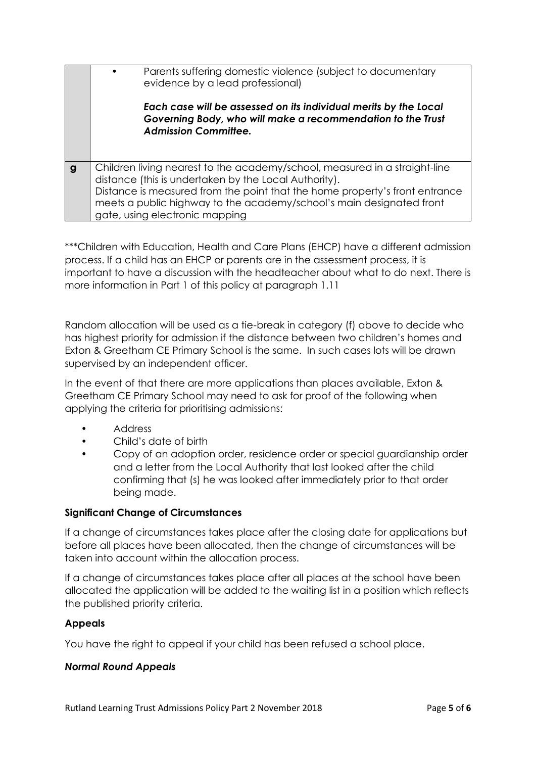|   | Parents suffering domestic violence (subject to documentary<br>evidence by a lead professional)                                                                                                                                                                                                                              |
|---|------------------------------------------------------------------------------------------------------------------------------------------------------------------------------------------------------------------------------------------------------------------------------------------------------------------------------|
|   | Each case will be assessed on its individual merits by the Local<br>Governing Body, who will make a recommendation to the Trust<br><b>Admission Committee.</b>                                                                                                                                                               |
| g | Children living nearest to the academy/school, measured in a straight-line<br>distance (this is undertaken by the Local Authority).<br>Distance is measured from the point that the home property's front entrance<br>meets a public highway to the academy/school's main designated front<br>gate, using electronic mapping |

\*\*\*Children with Education, Health and Care Plans (EHCP) have a different admission process. If a child has an EHCP or parents are in the assessment process, it is important to have a discussion with the headteacher about what to do next. There is more information in Part 1 of this policy at paragraph 1.11

Random allocation will be used as a tie-break in category (f) above to decide who has highest priority for admission if the distance between two children's homes and Exton & Greetham CE Primary School is the same. In such cases lots will be drawn supervised by an independent officer.

In the event of that there are more applications than places available, Exton & Greetham CE Primary School may need to ask for proof of the following when applying the criteria for prioritising admissions:

- Address
- Child's date of birth
- Copy of an adoption order, residence order or special guardianship order and a letter from the Local Authority that last looked after the child confirming that (s) he was looked after immediately prior to that order being made.

## **Significant Change of Circumstances**

If a change of circumstances takes place after the closing date for applications but before all places have been allocated, then the change of circumstances will be taken into account within the allocation process.

If a change of circumstances takes place after all places at the school have been allocated the application will be added to the waiting list in a position which reflects the published priority criteria.

## **Appeals**

You have the right to appeal if your child has been refused a school place.

## *Normal Round Appeals*